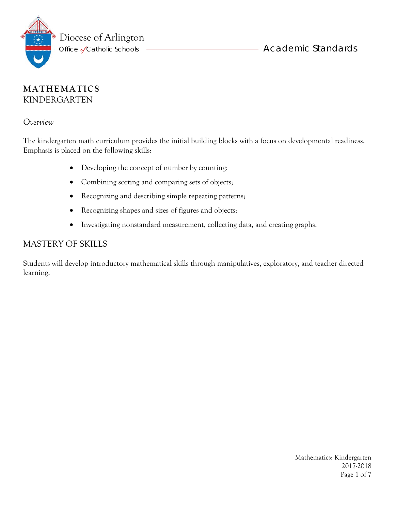

### **MATHEMATICS** KINDERGARTEN

*Overview* 

The kindergarten math curriculum provides the initial building blocks with a focus on developmental readiness. Emphasis is placed on the following skills:

- Developing the concept of number by counting;
- Combining sorting and comparing sets of objects;
- Recognizing and describing simple repeating patterns;
- Recognizing shapes and sizes of figures and objects;
- Investigating nonstandard measurement, collecting data, and creating graphs.

### MASTERY OF SKILLS

Students will develop introductory mathematical skills through manipulatives, exploratory, and teacher directed learning.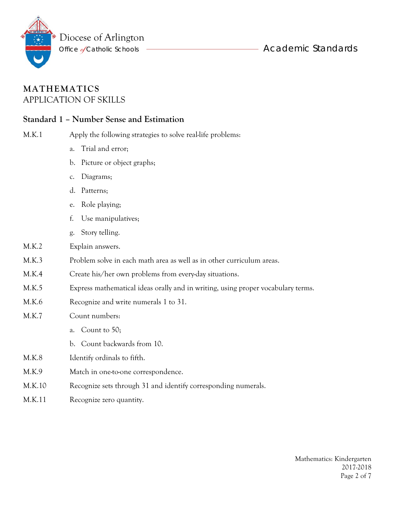

### **MATHEMATICS** APPLICATION OF SKILLS

### **Standard 1 – Number Sense and Estimation**

| M.K.1 | Apply the following strategies to solve real-life problems: |
|-------|-------------------------------------------------------------|
|-------|-------------------------------------------------------------|

- a. Trial and error;
- b. Picture or object graphs;
- c. Diagrams;
- d. Patterns;
- e. Role playing;
- f. Use manipulatives;
- g. Story telling.
- M.K.2 Explain answers.
- M.K.3 Problem solve in each math area as well as in other curriculum areas.
- M.K.4 Create his/her own problems from every-day situations.
- M.K.5 Express mathematical ideas orally and in writing, using proper vocabulary terms.
- M.K.6 Recognize and write numerals 1 to 31.
- M.K.7 Count numbers:
	- a. Count to 50;
	- b. Count backwards from 10.
- M.K.8 Identify ordinals to fifth.
- M.K.9 Match in one-to-one correspondence.
- M.K.10 Recognize sets through 31 and identify corresponding numerals.
- M.K.11 Recognize zero quantity.

Mathematics: Kindergarten 2017-2018 Page 2 of 7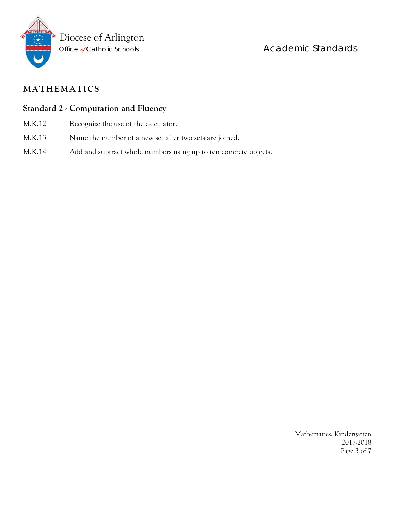

#### **Standard 2 - Computation and Fluency**

- M.K.12 Recognize the use of the calculator.
- M.K.13 Name the number of a new set after two sets are joined.
- M.K.14 Add and subtract whole numbers using up to ten concrete objects.

Mathematics: Kindergarten 2017-2018 Page 3 of 7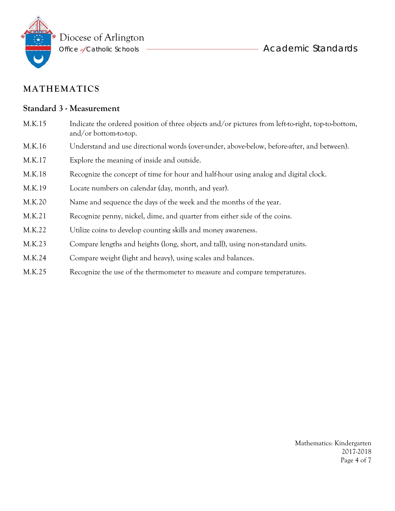

#### **Standard 3 - Measurement**

- M.K.15 Indicate the ordered position of three objects and/or pictures from left-to-right, top-to-bottom, and/or bottom-to-top.
- M.K.16 Understand and use directional words (over-under, above-below, before-after, and between).
- M.K.17 Explore the meaning of inside and outside.
- M.K.18 Recognize the concept of time for hour and half-hour using analog and digital clock.
- M.K.19 Locate numbers on calendar (day, month, and year).
- M.K.20 Name and sequence the days of the week and the months of the year.
- M.K.21 Recognize penny, nickel, dime, and quarter from either side of the coins.
- M.K.22 Utilize coins to develop counting skills and money awareness.
- M.K.23 Compare lengths and heights (long, short, and tall), using non-standard units.
- M.K.24 Compare weight (light and heavy), using scales and balances.
- M.K.25 Recognize the use of the thermometer to measure and compare temperatures.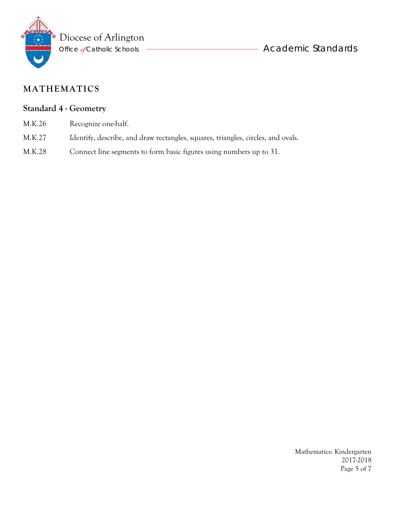

### **Standard 4 - Geometry**

- M.K.26 Recognize one-half.
- M.K.27 Identify, describe, and draw rectangles, squares, triangles, circles, and ovals.
- M.K.28 Connect line segments to form basic figures using numbers up to 31.

Mathematics: Kindergarten 2017-2018 Page 5 of 7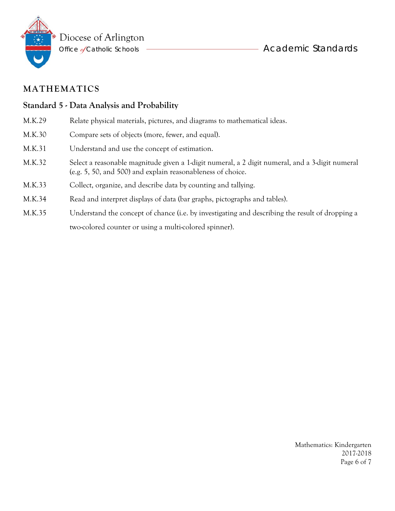

### **Standard 5 - Data Analysis and Probability**

- M.K.29 Relate physical materials, pictures, and diagrams to mathematical ideas.
- M.K.30 Compare sets of objects (more, fewer, and equal).
- M.K.31 Understand and use the concept of estimation.
- M.K.32 Select a reasonable magnitude given a 1-digit numeral, a 2 digit numeral, and a 3-digit numeral (e.g. 5, 50, and 500) and explain reasonableness of choice.
- M.K.33 Collect, organize, and describe data by counting and tallying.
- M.K.34 Read and interpret displays of data (bar graphs, pictographs and tables).
- M.K.35 Understand the concept of chance (i.e. by investigating and describing the result of dropping a two-colored counter or using a multi-colored spinner).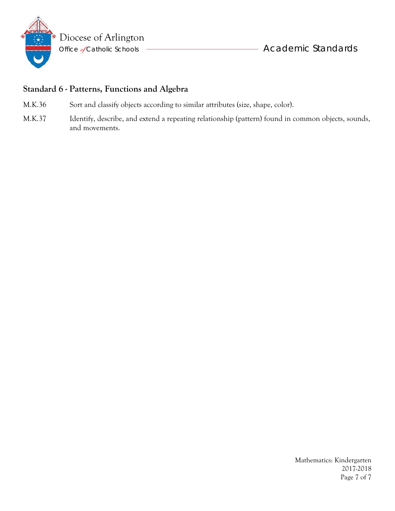

### **Standard 6 - Patterns, Functions and Algebra**

- M.K.36 Sort and classify objects according to similar attributes (size, shape, color).
- M.K.37 Identify, describe, and extend a repeating relationship (pattern) found in common objects, sounds, and movements.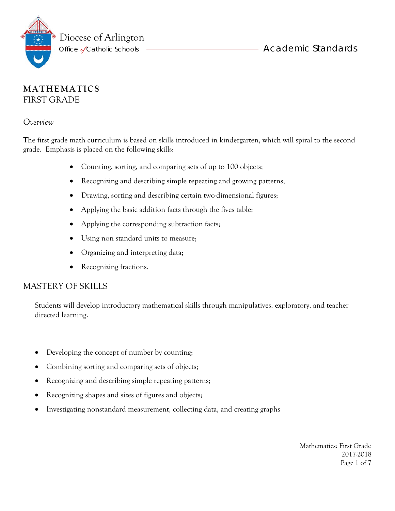

### **MATHEMATICS** FIRST GRADE

#### *Overview*

The first grade math curriculum is based on skills introduced in kindergarten, which will spiral to the second grade. Emphasis is placed on the following skills:

- Counting, sorting, and comparing sets of up to 100 objects;
- Recognizing and describing simple repeating and growing patterns;
- Drawing, sorting and describing certain two-dimensional figures;
- Applying the basic addition facts through the fives table;
- Applying the corresponding subtraction facts;
- Using non standard units to measure;
- Organizing and interpreting data;
- Recognizing fractions.

### MASTERY OF SKILLS

Students will develop introductory mathematical skills through manipulatives, exploratory, and teacher directed learning.

- Developing the concept of number by counting;
- Combining sorting and comparing sets of objects;
- Recognizing and describing simple repeating patterns;
- Recognizing shapes and sizes of figures and objects;
- Investigating nonstandard measurement, collecting data, and creating graphs

 Mathematics: First Grade 2017-2018 Page 1 of 7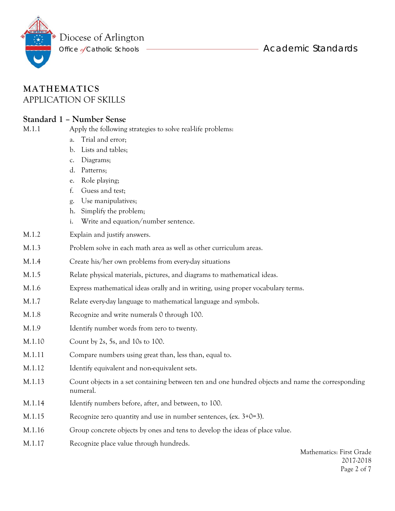

### **MATHEMATICS** APPLICATION OF SKILLS

#### **Standard 1 – Number Sense**

M.1.1 Apply the following strategies to solve real-life problems:

- a. Trial and error;
- b. Lists and tables;
- c. Diagrams;
- d. Patterns;
- e. Role playing;
- f. Guess and test;
- g. Use manipulatives;
- h. Simplify the problem;
- i. Write and equation/number sentence.
- M.1.2 Explain and justify answers.
- M.1.3 Problem solve in each math area as well as other curriculum areas.
- M.1.4 Create his/her own problems from every-day situations
- M.1.5 Relate physical materials, pictures, and diagrams to mathematical ideas.
- M.1.6 Express mathematical ideas orally and in writing, using proper vocabulary terms.
- M.1.7 Relate every-day language to mathematical language and symbols.
- M.1.8 Recognize and write numerals 0 through 100.
- M.1.9 Identify number words from zero to twenty.
- M.1.10 Count by 2s, 5s, and 10s to 100.
- M.1.11 Compare numbers using great than, less than, equal to.
- M.1.12 Identify equivalent and non-equivalent sets.
- M.1.13 Count objects in a set containing between ten and one hundred objects and name the corresponding numeral.
- M.1.14 Identify numbers before, after, and between, to 100.
- M.1.15 Recognize zero quantity and use in number sentences, (ex. 3+0=3).
- M.1.16 Group concrete objects by ones and tens to develop the ideas of place value.
- M.1.17 Recognize place value through hundreds.

Mathematics: First Grade 2017-2018 Page 2 of 7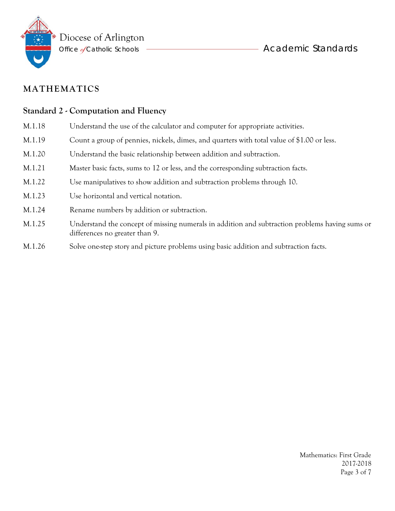

#### **Standard 2 - Computation and Fluency**

- M.1.18 Understand the use of the calculator and computer for appropriate activities.
- M.1.19 Count a group of pennies, nickels, dimes, and quarters with total value of \$1.00 or less.
- M.1.20 Understand the basic relationship between addition and subtraction.
- M.1.21 Master basic facts, sums to 12 or less, and the corresponding subtraction facts.
- M.1.22 Use manipulatives to show addition and subtraction problems through 10.
- M.1.23 Use horizontal and vertical notation.
- M.1.24 Rename numbers by addition or subtraction.
- M.1.25 Understand the concept of missing numerals in addition and subtraction problems having sums or differences no greater than 9.
- M.1.26 Solve one-step story and picture problems using basic addition and subtraction facts.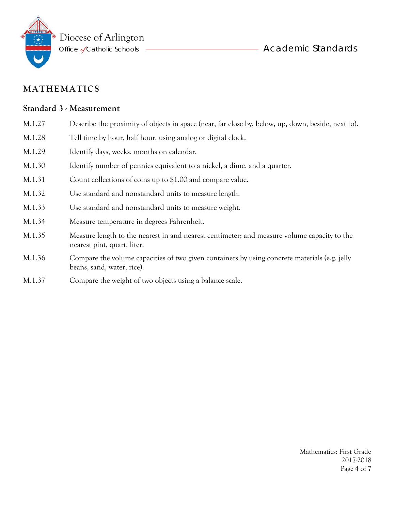

#### **Standard 3 - Measurement**

- M.1.27 Describe the proximity of objects in space (near, far close by, below, up, down, beside, next to).
- M.1.28 Tell time by hour, half hour, using analog or digital clock.
- M.1.29 Identify days, weeks, months on calendar.
- M.1.30 Identify number of pennies equivalent to a nickel, a dime, and a quarter.
- M.1.31 Count collections of coins up to \$1.00 and compare value.
- M.1.32 Use standard and nonstandard units to measure length.
- M.1.33 Use standard and nonstandard units to measure weight.
- M.1.34 Measure temperature in degrees Fahrenheit.
- M.1.35 Measure length to the nearest in and nearest centimeter; and measure volume capacity to the nearest pint, quart, liter.
- M.1.36 Compare the volume capacities of two given containers by using concrete materials (e.g. jelly beans, sand, water, rice).
- M.1.37 Compare the weight of two objects using a balance scale.

 Mathematics: First Grade 2017-2018 Page 4 of 7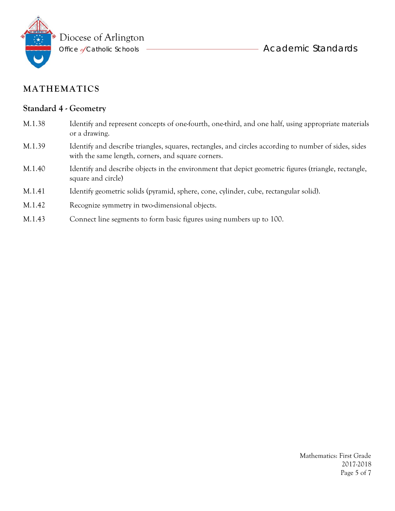

#### **Standard 4 - Geometry**

- M.1.38 Identify and represent concepts of one-fourth, one-third, and one half, using appropriate materials or a drawing.
- M.1.39 Identify and describe triangles, squares, rectangles, and circles according to number of sides, sides with the same length, corners, and square corners.
- M.1.40 Identify and describe objects in the environment that depict geometric figures (triangle, rectangle, square and circle)
- M.1.41 Identify geometric solids (pyramid, sphere, cone, cylinder, cube, rectangular solid).
- M.1.42 Recognize symmetry in two-dimensional objects.
- M.1.43 Connect line segments to form basic figures using numbers up to 100.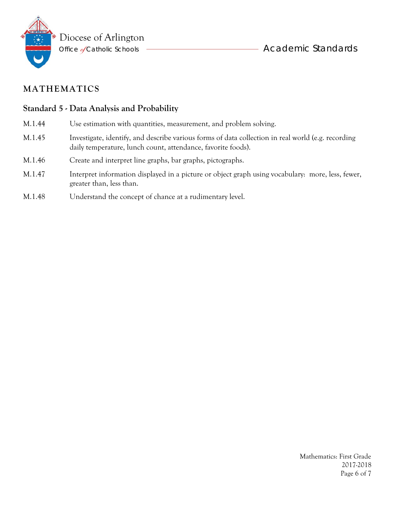

### **Standard 5 - Data Analysis and Probability**

- M.1.44 Use estimation with quantities, measurement, and problem solving.
- M.1.45 Investigate, identify, and describe various forms of data collection in real world (e.g. recording daily temperature, lunch count, attendance, favorite foods).
- M.1.46 Create and interpret line graphs, bar graphs, pictographs.
- M.1.47 Interpret information displayed in a picture or object graph using vocabulary: more, less, fewer, greater than, less than.
- M.1.48 Understand the concept of chance at a rudimentary level.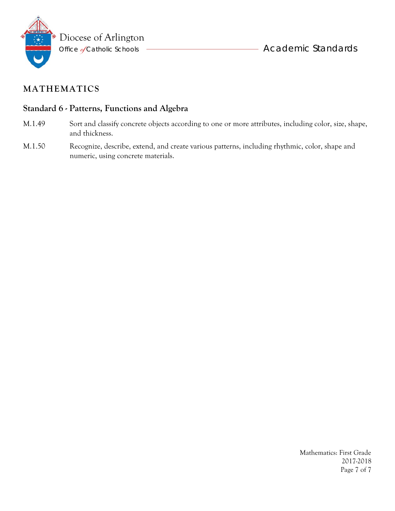

#### **Standard 6 - Patterns, Functions and Algebra**

- M.1.49 Sort and classify concrete objects according to one or more attributes, including color, size, shape, and thickness.
- M.1.50 Recognize, describe, extend, and create various patterns, including rhythmic, color, shape and numeric, using concrete materials.

 Mathematics: First Grade 2017-2018 Page 7 of 7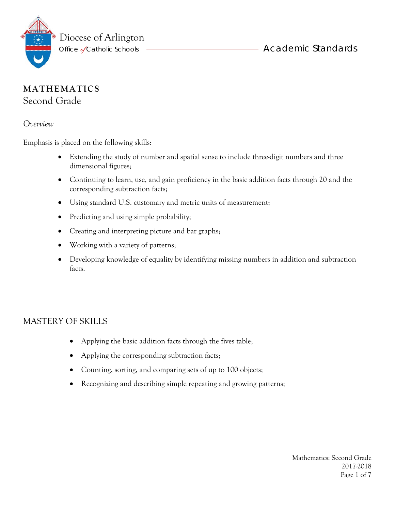

# **MATHEMATICS** Second Grade

*Overview* 

Emphasis is placed on the following skills:

- Extending the study of number and spatial sense to include three-digit numbers and three dimensional figures;
- Continuing to learn, use, and gain proficiency in the basic addition facts through 20 and the corresponding subtraction facts;
- Using standard U.S. customary and metric units of measurement;
- Predicting and using simple probability;
- Creating and interpreting picture and bar graphs;
- Working with a variety of patterns;
- Developing knowledge of equality by identifying missing numbers in addition and subtraction facts.

#### MASTERY OF SKILLS

- Applying the basic addition facts through the fives table;
- Applying the corresponding subtraction facts;
- Counting, sorting, and comparing sets of up to 100 objects;
- Recognizing and describing simple repeating and growing patterns;

Mathematics: Second Grade 2017-2018 Page 1 of 7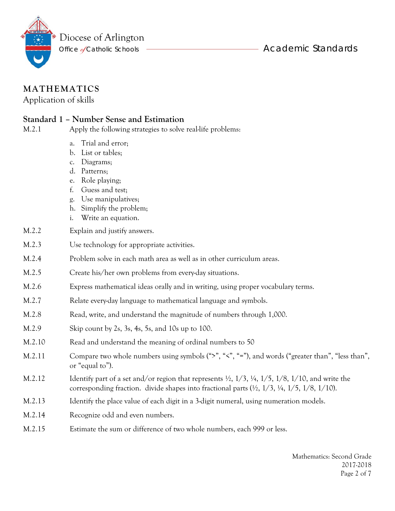

Application of skills

#### **Standard 1 – Number Sense and Estimation**

M.2.1 Apply the following strategies to solve real-life problems:

- a. Trial and error;
- b. List or tables;
- c. Diagrams;
- d. Patterns;
- e. Role playing;
- f. Guess and test;
- g. Use manipulatives;
- h. Simplify the problem;
- i. Write an equation.
- M.2.2 Explain and justify answers.
- M.2.3 Use technology for appropriate activities.
- M.2.4 Problem solve in each math area as well as in other curriculum areas.
- M.2.5 Create his/her own problems from every-day situations.
- M.2.6 Express mathematical ideas orally and in writing, using proper vocabulary terms.
- M.2.7 Relate every-day language to mathematical language and symbols.
- M.2.8 Read, write, and understand the magnitude of numbers through 1,000.
- M.2.9 Skip count by 2s, 3s, 4s, 5s, and 10s up to 100.
- M.2.10 Read and understand the meaning of ordinal numbers to 50
- M.2.11 Compare two whole numbers using symbols (">", "<", "="), and words ("greater than", "less than", or "equal to").
- M.2.12 Identify part of a set and/or region that represents  $\frac{1}{2}$ ,  $\frac{1}{3}$ ,  $\frac{1}{5}$ ,  $\frac{1}{8}$ ,  $\frac{1}{10}$ , and write the corresponding fraction. divide shapes into fractional parts  $(\frac{1}{2}, \frac{1}{3}, \frac{1}{4}, \frac{1}{5}, \frac{1}{8}, \frac{1}{10})$ .
- M.2.13 Identify the place value of each digit in a 3-digit numeral, using numeration models.
- M.2.14 Recognize odd and even numbers.
- M.2.15 Estimate the sum or difference of two whole numbers, each 999 or less.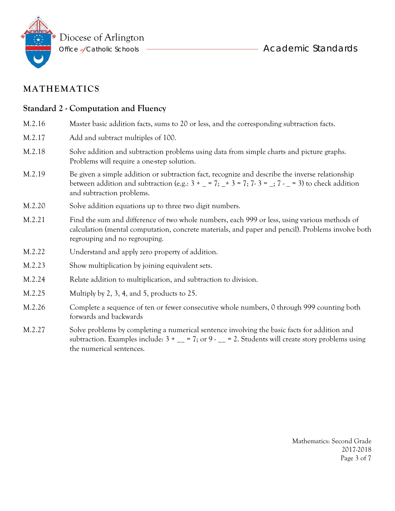

#### **Standard 2 - Computation and Fluency**

- M.2.16 Master basic addition facts, sums to 20 or less, and the corresponding subtraction facts. M.2.17 Add and subtract multiples of 100. M.2.18 Solve addition and subtraction problems using data from simple charts and picture graphs. Problems will require a one-step solution. M.2.19 Be given a simple addition or subtraction fact, recognize and describe the inverse relationship between addition and subtraction (e.g.:  $3 + (-7, -7)$  + 3 = 7; 7 - 3 =  $(-7, -7)$  = 3) to check addition and subtraction problems. M.2.20 Solve addition equations up to three two digit numbers.
- M.2.21 Find the sum and difference of two whole numbers, each 999 or less, using various methods of calculation (mental computation, concrete materials, and paper and pencil). Problems involve both regrouping and no regrouping.
- M.2.22 Understand and apply zero property of addition.
- M.2.23 Show multiplication by joining equivalent sets.
- M.2.24 Relate addition to multiplication, and subtraction to division.
- M.2.25 Multiply by 2, 3, 4, and 5, products to 25.
- M.2.26 Complete a sequence of ten or fewer consecutive whole numbers, 0 through 999 counting both forwards and backwards
- M.2.27 Solve problems by completing a numerical sentence involving the basic facts for addition and subtraction. Examples include:  $3 + \underline{\ }$  = 7; or 9  $\angle$  = 2. Students will create story problems using the numerical sentences.

Mathematics: Second Grade 2017-2018 Page 3 of 7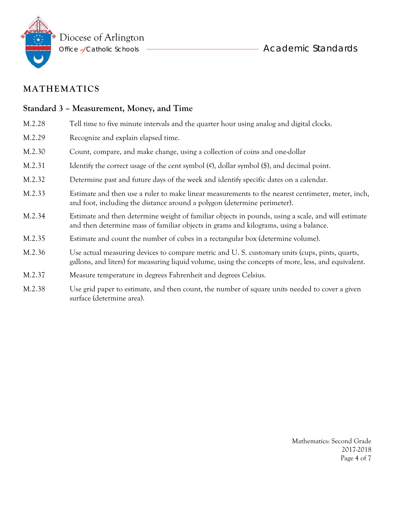

# **Standard 3 – Measurement, Money, and Time**  M.2.28 Tell time to five minute intervals and the quarter hour using analog and digital clocks. M.2.29 Recognize and explain elapsed time. M.2.30 Count, compare, and make change, using a collection of coins and one-dollar M.2.31 Identify the correct usage of the cent symbol  $(\mathfrak{C})$ , dollar symbol  $(\mathfrak{F})$ , and decimal point. M.2.32 Determine past and future days of the week and identify specific dates on a calendar. M.2.33 Estimate and then use a ruler to make linear measurements to the nearest centimeter, meter, inch, and foot, including the distance around a polygon (determine perimeter). M.2.34 Estimate and then determine weight of familiar objects in pounds, using a scale, and will estimate and then determine mass of familiar objects in grams and kilograms, using a balance. M.2.35 Estimate and count the number of cubes in a rectangular box (determine volume). M.2.36 Use actual measuring devices to compare metric and U. S. customary units (cups, pints, quarts, gallons, and liters) for measuring liquid volume, using the concepts of more, less, and equivalent. M.2.37 Measure temperature in degrees Fahrenheit and degrees Celsius.

M.2.38 Use grid paper to estimate, and then count, the number of square units needed to cover a given surface (determine area).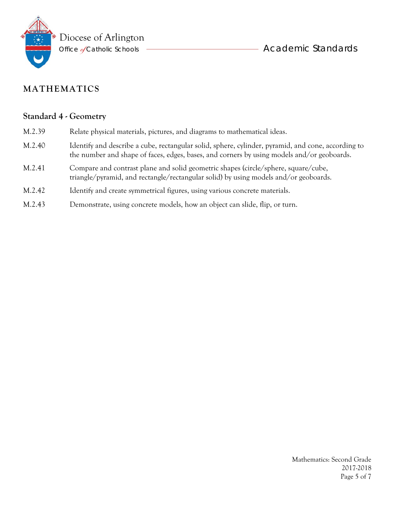

#### **Standard 4 - Geometry**

- M.2.39 Relate physical materials, pictures, and diagrams to mathematical ideas.
- M.2.40 Identify and describe a cube, rectangular solid, sphere, cylinder, pyramid, and cone, according to the number and shape of faces, edges, bases, and corners by using models and/or geoboards.
- M.2.41 Compare and contrast plane and solid geometric shapes (circle/sphere, square/cube, triangle/pyramid, and rectangle/rectangular solid) by using models and/or geoboards.
- M.2.42 Identify and create symmetrical figures, using various concrete materials.
- M.2.43 Demonstrate, using concrete models, how an object can slide, flip, or turn.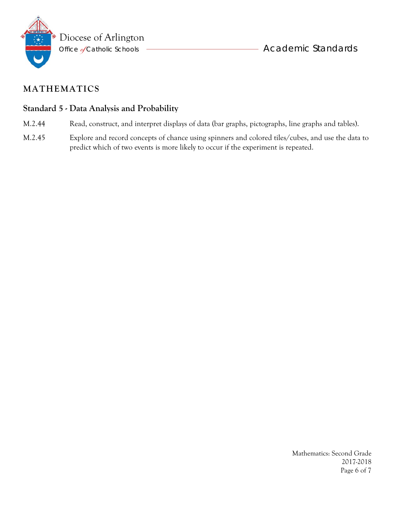

### **Standard 5 - Data Analysis and Probability**

- M.2.44 Read, construct, and interpret displays of data (bar graphs, pictographs, line graphs and tables).
- M.2.45 Explore and record concepts of chance using spinners and colored tiles/cubes, and use the data to predict which of two events is more likely to occur if the experiment is repeated.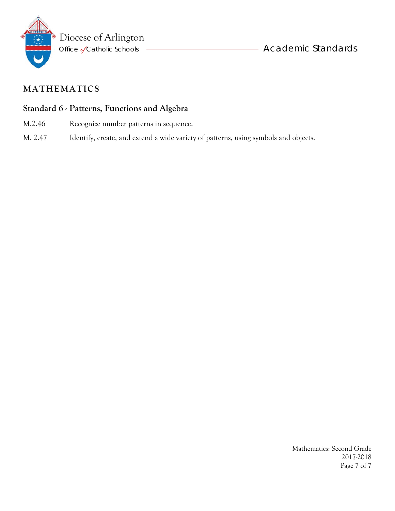

### **Standard 6 - Patterns, Functions and Algebra**

- M.2.46 Recognize number patterns in sequence.
- M. 2.47 Identify, create, and extend a wide variety of patterns, using symbols and objects.

Mathematics: Second Grade 2017-2018 Page 7 of 7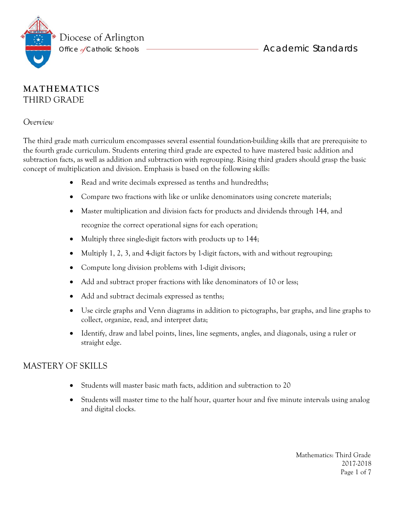



### **MATHEMATICS** THIRD GRADE

*Overview* 

The third grade math curriculum encompasses several essential foundation-building skills that are prerequisite to the fourth grade curriculum. Students entering third grade are expected to have mastered basic addition and subtraction facts, as well as addition and subtraction with regrouping. Rising third graders should grasp the basic concept of multiplication and division. Emphasis is based on the following skills:

- Read and write decimals expressed as tenths and hundredths:
- Compare two fractions with like or unlike denominators using concrete materials;
- Master multiplication and division facts for products and dividends through 144, and recognize the correct operational signs for each operation;
- Multiply three single-digit factors with products up to 144;
- Multiply 1, 2, 3, and 4-digit factors by 1-digit factors, with and without regrouping;
- Compute long division problems with 1-digit divisors;
- Add and subtract proper fractions with like denominators of 10 or less;
- Add and subtract decimals expressed as tenths;
- Use circle graphs and Venn diagrams in addition to pictographs, bar graphs, and line graphs to collect, organize, read, and interpret data;
- Identify, draw and label points, lines, line segments, angles, and diagonals, using a ruler or straight edge.

### MASTERY OF SKILLS

- Students will master basic math facts, addition and subtraction to 20
- Students will master time to the half hour, quarter hour and five minute intervals using analog and digital clocks.

 Mathematics: Third Grade 2017-2018 Page 1 of 7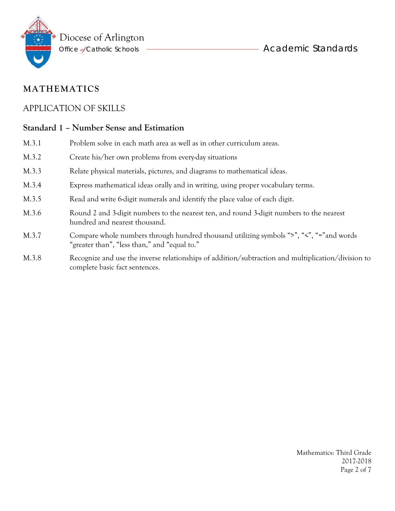

### APPLICATION OF SKILLS

#### **Standard 1 – Number Sense and Estimation**

- M.3.1 Problem solve in each math area as well as in other curriculum areas. M.3.2 Create his/her own problems from every-day situations M.3.3 Relate physical materials, pictures, and diagrams to mathematical ideas. M.3.4 Express mathematical ideas orally and in writing, using proper vocabulary terms. M.3.5 Read and write 6-digit numerals and identify the place value of each digit. M.3.6 Round 2 and 3-digit numbers to the nearest ten, and round 3-digit numbers to the nearest hundred and nearest thousand. M.3.7 Compare whole numbers through hundred thousand utilizing symbols ">", "<", "="and words "greater than", "less than," and "equal to."
- M.3.8 Recognize and use the inverse relationships of addition/subtraction and multiplication/division to complete basic fact sentences.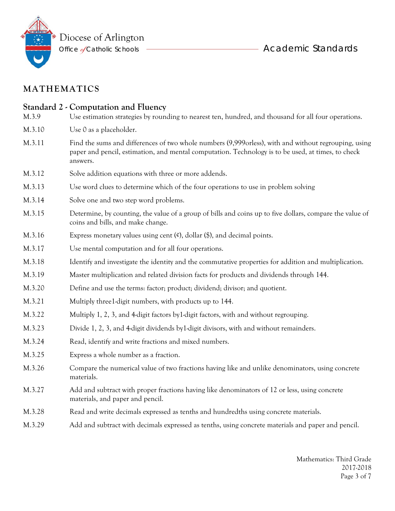

### **Standard 2 - Computation and Fluency**

- M.3.9 Use estimation strategies by rounding to nearest ten, hundred, and thousand for all four operations.
- M.3.10 Use 0 as a placeholder.
- M.3.11 Find the sums and differences of two whole numbers (9,999orless), with and without regrouping, using paper and pencil, estimation, and mental computation. Technology is to be used, at times, to check answers.
- M.3.12 Solve addition equations with three or more addends.
- M.3.13 Use word clues to determine which of the four operations to use in problem solving
- M.3.14 Solve one and two step word problems.
- M.3.15 Determine, by counting, the value of a group of bills and coins up to five dollars, compare the value of coins and bills, and make change.
- M.3.16 Express monetary values using cent  $(\mathfrak{e})$ , dollar  $(\mathfrak{h})$ , and decimal points.
- M.3.17 Use mental computation and for all four operations.
- M.3.18 Identify and investigate the identity and the commutative properties for addition and multiplication.
- M.3.19 Master multiplication and related division facts for products and dividends through 144.
- M.3.20 Define and use the terms: factor; product; dividend; divisor; and quotient.
- M.3.21 Multiply three1-digit numbers, with products up to 144.
- M.3.22 Multiply 1, 2, 3, and 4-digit factors by1-digit factors, with and without regrouping.
- M.3.23 Divide 1, 2, 3, and 4-digit dividends by1-digit divisors, with and without remainders.
- M.3.24 Read, identify and write fractions and mixed numbers.
- M.3.25 Express a whole number as a fraction.
- M.3.26 Compare the numerical value of two fractions having like and unlike denominators, using concrete materials.
- M.3.27 Add and subtract with proper fractions having like denominators of 12 or less, using concrete materials, and paper and pencil.
- M.3.28 Read and write decimals expressed as tenths and hundredths using concrete materials.
- M.3.29 Add and subtract with decimals expressed as tenths, using concrete materials and paper and pencil.

Mathematics: Third Grade 2017-2018 Page 3 of 7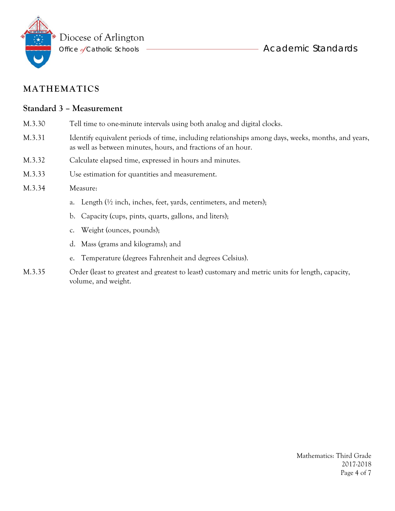

#### **Standard 3 – Measurement**

- M.3.30 Tell time to one-minute intervals using both analog and digital clocks.
- M.3.31 Identify equivalent periods of time, including relationships among days, weeks, months, and years, as well as between minutes, hours, and fractions of an hour.
- M.3.32 Calculate elapsed time, expressed in hours and minutes.
- M.3.33 Use estimation for quantities and measurement.

#### M.3.34 Measure:

- a. Length  $\frac{1}{2}$  inch, inches, feet, yards, centimeters, and meters);
- b. Capacity (cups, pints, quarts, gallons, and liters);
- c. Weight (ounces, pounds);
- d. Mass (grams and kilograms); and
- e. Temperature (degrees Fahrenheit and degrees Celsius).
- M.3.35 Order (least to greatest and greatest to least) customary and metric units for length, capacity, volume, and weight.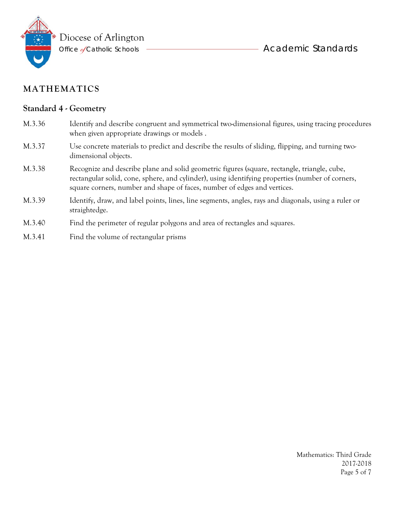

#### **Standard 4 - Geometry**

- M.3.36 Identify and describe congruent and symmetrical two-dimensional figures, using tracing procedures when given appropriate drawings or models .
- M.3.37 Use concrete materials to predict and describe the results of sliding, flipping, and turning twodimensional objects.
- M.3.38 Recognize and describe plane and solid geometric figures (square, rectangle, triangle, cube, rectangular solid, cone, sphere, and cylinder), using identifying properties (number of corners, square corners, number and shape of faces, number of edges and vertices.
- M.3.39 Identify, draw, and label points, lines, line segments, angles, rays and diagonals, using a ruler or straightedge.
- M.3.40 Find the perimeter of regular polygons and area of rectangles and squares.
- M.3.41 Find the volume of rectangular prisms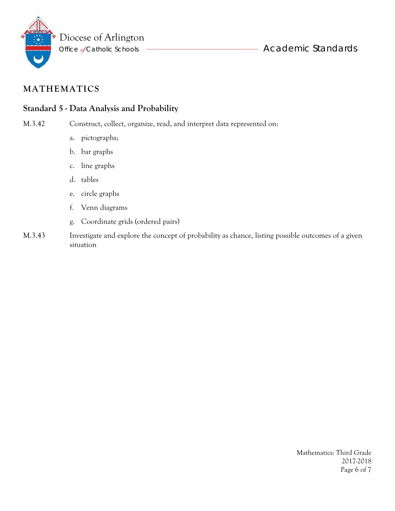

### **Standard 5 - Data Analysis and Probability**

M.3.42 Construct, collect, organize, read, and interpret data represented on:

- a. pictographs;
- b. bar graphs
- c. line graphs
- d. tables
- e. circle graphs
- f. Venn diagrams
- g. Coordinate grids (ordered pairs)
- M.3.43 Investigate and explore the concept of probability as chance, listing possible outcomes of a given situation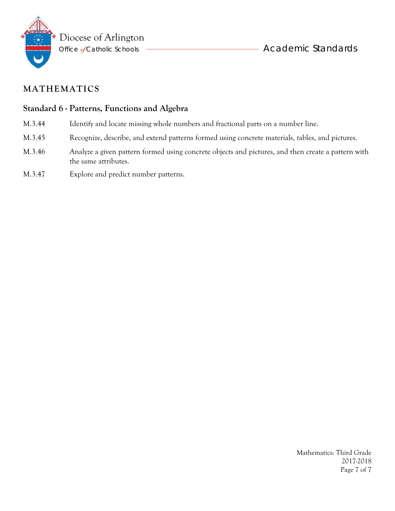

#### **Standard 6 - Patterns, Functions and Algebra**

- M.3.44 Identify and locate missing whole numbers and fractional parts on a number line.
- M.3.45 Recognize, describe, and extend patterns formed using concrete materials, tables, and pictures.
- M.3.46 Analyze a given pattern formed using concrete objects and pictures, and then create a pattern with the same attributes.
- M.3.47 Explore and predict number patterns.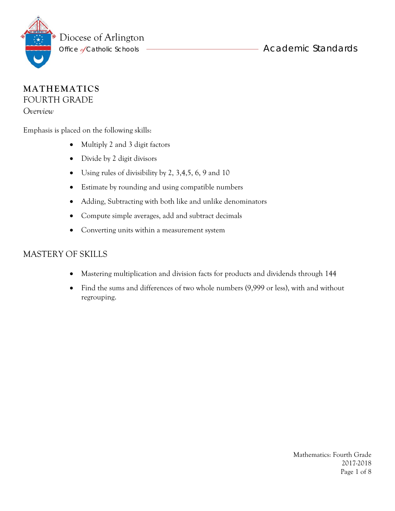

#### **MATHEMATICS** FOURTH GRADE

*Overview* 

Emphasis is placed on the following skills:

- Multiply 2 and 3 digit factors
- Divide by 2 digit divisors
- $\bullet$  Using rules of divisibility by 2, 3,4,5, 6, 9 and 10
- Estimate by rounding and using compatible numbers
- Adding, Subtracting with both like and unlike denominators
- Compute simple averages, add and subtract decimals
- Converting units within a measurement system

### MASTERY OF SKILLS

- Mastering multiplication and division facts for products and dividends through 144
- Find the sums and differences of two whole numbers (9,999 or less), with and without regrouping.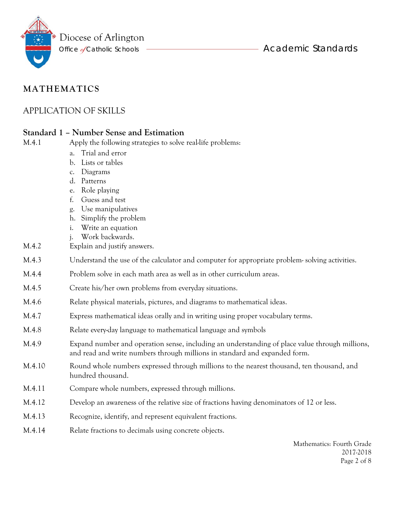

### APPLICATION OF SKILLS

### **Standard 1 – Number Sense and Estimation**

M.4.1 Apply the following strategies to solve real-life problems:

- a. Trial and error
- b. Lists or tables
- c. Diagrams
- d. Patterns
- e. Role playing
- f. Guess and test
- g. Use manipulatives
- h. Simplify the problem
- i. Write an equation
- j. Work backwards.
- M.4.2 Explain and justify answers.
- M.4.3 Understand the use of the calculator and computer for appropriate problem- solving activities.
- M.4.4 Problem solve in each math area as well as in other curriculum areas.
- M.4.5 Create his/her own problems from everyday situations.
- M.4.6 Relate physical materials, pictures, and diagrams to mathematical ideas.
- M.4.7 Express mathematical ideas orally and in writing using proper vocabulary terms.
- M.4.8 Relate every-day language to mathematical language and symbols
- M.4.9 Expand number and operation sense, including an understanding of place value through millions, and read and write numbers through millions in standard and expanded form.
- M.4.10 Round whole numbers expressed through millions to the nearest thousand, ten thousand, and hundred thousand.
- M.4.11 Compare whole numbers, expressed through millions.
- M.4.12 Develop an awareness of the relative size of fractions having denominators of 12 or less.
- M.4.13 Recognize, identify, and represent equivalent fractions.
- M.4.14 Relate fractions to decimals using concrete objects.

Mathematics: Fourth Grade 2017-2018 Page 2 of 8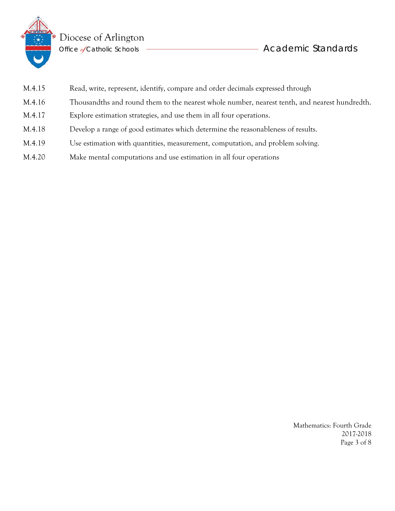

 $\bullet$  Diocese of Arlington

Office Éy Catholic Schools Academic Standards

| M.4.15 | Read, write, represent, identify, compare and order decimals expressed through                |
|--------|-----------------------------------------------------------------------------------------------|
| M.4.16 | Thousandths and round them to the nearest whole number, nearest tenth, and nearest hundredth. |
| M.4.17 | Explore estimation strategies, and use them in all four operations.                           |
| M.4.18 | Develop a range of good estimates which determine the reasonableness of results.              |
| M.4.19 | Use estimation with quantities, measurement, computation, and problem solving.                |
|        |                                                                                               |

M.4.20 Make mental computations and use estimation in all four operations

Mathematics: Fourth Grade 2017-2018 Page 3 of 8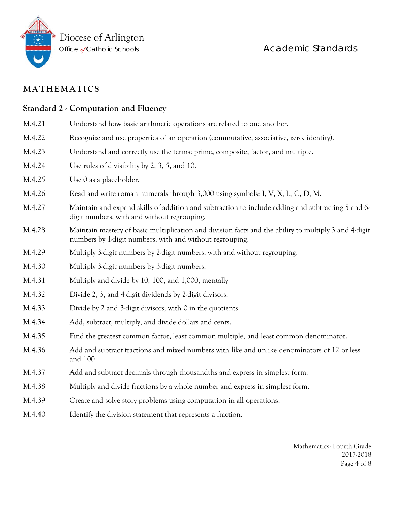

| <b>Standard 2 - Computation and Fluency</b> |                                                                                                                                                                   |  |
|---------------------------------------------|-------------------------------------------------------------------------------------------------------------------------------------------------------------------|--|
| M.4.21                                      | Understand how basic arithmetic operations are related to one another.                                                                                            |  |
| M.4.22                                      | Recognize and use properties of an operation (commutative, associative, zero, identity).                                                                          |  |
| M.4.23                                      | Understand and correctly use the terms: prime, composite, factor, and multiple.                                                                                   |  |
| M.4.24                                      | Use rules of divisibility by 2, 3, 5, and 10.                                                                                                                     |  |
| M.4.25                                      | Use 0 as a placeholder.                                                                                                                                           |  |
| M.4.26                                      | Read and write roman numerals through 3,000 using symbols: I, V, X, L, C, D, M.                                                                                   |  |
| M.4.27                                      | Maintain and expand skills of addition and subtraction to include adding and subtracting 5 and 6-<br>digit numbers, with and without regrouping.                  |  |
| M.4.28                                      | Maintain mastery of basic multiplication and division facts and the ability to multiply 3 and 4-digit<br>numbers by 1-digit numbers, with and without regrouping. |  |
| M.4.29                                      | Multiply 3-digit numbers by 2-digit numbers, with and without regrouping.                                                                                         |  |
| M.4.30                                      | Multiply 3-digit numbers by 3-digit numbers.                                                                                                                      |  |
| M.4.31                                      | Multiply and divide by 10, 100, and 1,000, mentally                                                                                                               |  |
| M.4.32                                      | Divide 2, 3, and 4-digit dividends by 2-digit divisors.                                                                                                           |  |
| M.4.33                                      | Divide by 2 and 3-digit divisors, with 0 in the quotients.                                                                                                        |  |
| M.4.34                                      | Add, subtract, multiply, and divide dollars and cents.                                                                                                            |  |
| M.4.35                                      | Find the greatest common factor, least common multiple, and least common denominator.                                                                             |  |
| M.4.36                                      | Add and subtract fractions and mixed numbers with like and unlike denominators of 12 or less<br>and 100                                                           |  |
| M.4.37                                      | Add and subtract decimals through thousandths and express in simplest form.                                                                                       |  |
| M.4.38                                      | Multiply and divide fractions by a whole number and express in simplest form.                                                                                     |  |

- M.4.39 Create and solve story problems using computation in all operations.
- M.4.40 Identify the division statement that represents a fraction.

Mathematics: Fourth Grade 2017-2018 Page 4 of 8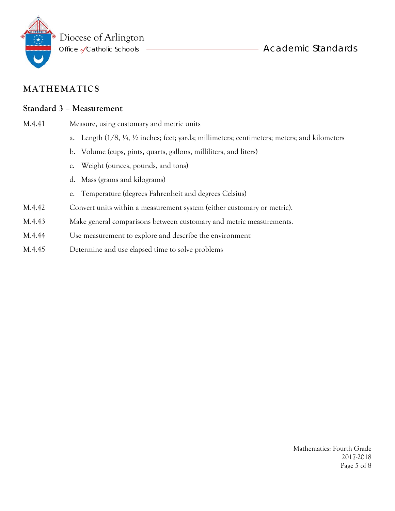

#### **Standard 3 – Measurement**

- M.4.41 Measure, using customary and metric units
	- a. Length (1/8, ¼, ½ inches; feet; yards; millimeters; centimeters; meters; and kilometers
	- b. Volume (cups, pints, quarts, gallons, milliliters, and liters)
	- c. Weight (ounces, pounds, and tons)
	- d. Mass (grams and kilograms)
	- e. Temperature (degrees Fahrenheit and degrees Celsius)
- M.4.42 Convert units within a measurement system (either customary or metric).
- M.4.43 Make general comparisons between customary and metric measurements.
- M.4.44 Use measurement to explore and describe the environment
- M.4.45 Determine and use elapsed time to solve problems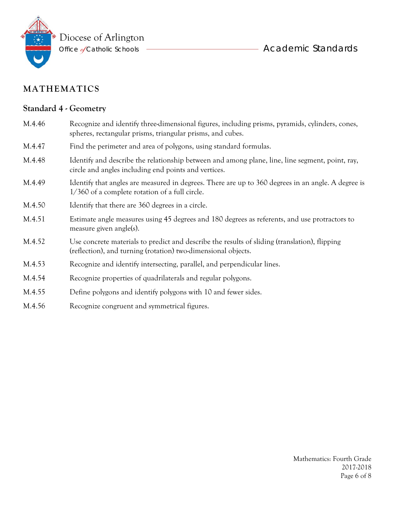

**Change Exercise Exercise Exercise Exercise Academic Standards** 

# **MATHEMATICS**

# **Standard 4 - Geometry**

| M.4.46 | Recognize and identify three-dimensional figures, including prisms, pyramids, cylinders, cones,<br>spheres, rectangular prisms, triangular prisms, and cubes.  |
|--------|----------------------------------------------------------------------------------------------------------------------------------------------------------------|
| M.4.47 | Find the perimeter and area of polygons, using standard formulas.                                                                                              |
| M.4.48 | Identify and describe the relationship between and among plane, line, line segment, point, ray,<br>circle and angles including end points and vertices.        |
| M.4.49 | Identify that angles are measured in degrees. There are up to 360 degrees in an angle. A degree is<br>1/360 of a complete rotation of a full circle.           |
| M.4.50 | Identify that there are 360 degrees in a circle.                                                                                                               |
| M.4.51 | Estimate angle measures using 45 degrees and 180 degrees as referents, and use protractors to<br>measure given angle(s).                                       |
| M.4.52 | Use concrete materials to predict and describe the results of sliding (translation), flipping<br>(reflection), and turning (rotation) two-dimensional objects. |
| M.4.53 | Recognize and identify intersecting, parallel, and perpendicular lines.                                                                                        |
| M.4.54 | Recognize properties of quadrilaterals and regular polygons.                                                                                                   |
| M.4.55 | Define polygons and identify polygons with 10 and fewer sides.                                                                                                 |
| M.4.56 | Recognize congruent and symmetrical figures.                                                                                                                   |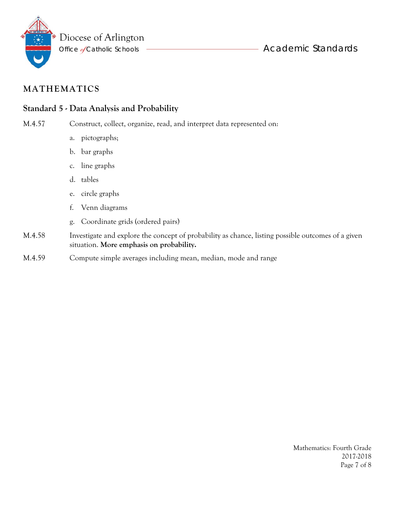

### **Standard 5 - Data Analysis and Probability**

M.4.57 Construct, collect, organize, read, and interpret data represented on:

- a. pictographs;
- b. bar graphs
- c. line graphs
- d. tables
- e. circle graphs
- f. Venn diagrams
- g. Coordinate grids (ordered pairs)
- M.4.58 Investigate and explore the concept of probability as chance, listing possible outcomes of a given situation. **More emphasis on probability.**
- M.4.59 Compute simple averages including mean, median, mode and range

Mathematics: Fourth Grade 2017-2018 Page 7 of 8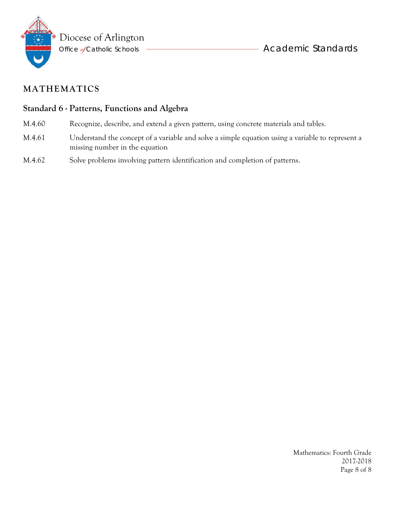

### **Standard 6 - Patterns, Functions and Algebra**

- M.4.60 Recognize, describe, and extend a given pattern, using concrete materials and tables.
- M.4.61 Understand the concept of a variable and solve a simple equation using a variable to represent a missing number in the equation
- M.4.62 Solve problems involving pattern identification and completion of patterns.

Mathematics: Fourth Grade 2017-2018 Page 8 of 8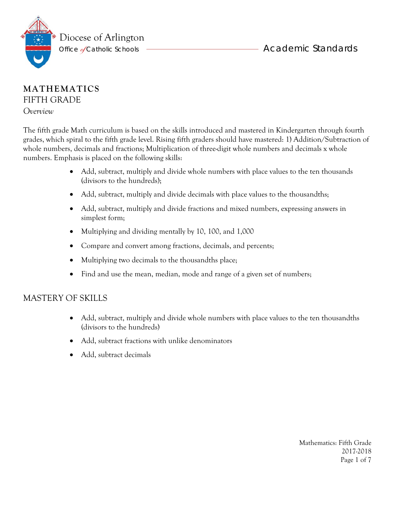



### **MATHEMATICS** FIFTH GRADE

*Overview* 

The fifth grade Math curriculum is based on the skills introduced and mastered in Kindergarten through fourth grades, which spiral to the fifth grade level. Rising fifth graders should have mastered: 1) Addition/Subtraction of whole numbers, decimals and fractions; Multiplication of three-digit whole numbers and decimals x whole numbers. Emphasis is placed on the following skills:

- Add, subtract, multiply and divide whole numbers with place values to the ten thousands (divisors to the hundreds);
- Add, subtract, multiply and divide decimals with place values to the thousandths;
- Add, subtract, multiply and divide fractions and mixed numbers, expressing answers in simplest form;
- Multiplying and dividing mentally by 10, 100, and 1,000
- Compare and convert among fractions, decimals, and percents;
- Multiplying two decimals to the thousandths place;
- Find and use the mean, median, mode and range of a given set of numbers;

#### MASTERY OF SKILLS

- Add, subtract, multiply and divide whole numbers with place values to the ten thousandths (divisors to the hundreds)
- Add, subtract fractions with unlike denominators
- Add, subtract decimals

Mathematics: Fifth Grade 2017-2018 Page 1 of 7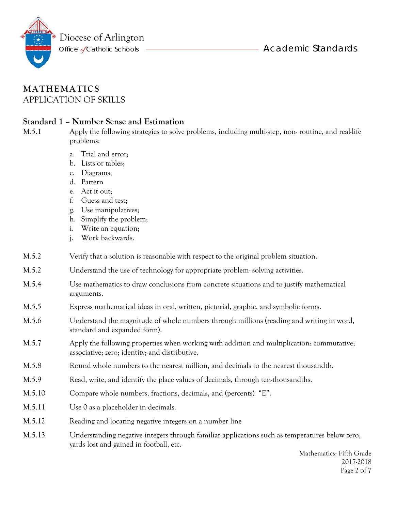Diocese of Arlington

Office *d*Catholic Schools ——————————————————— Academic Standards

### **MATHEMATICS** APPLICATION OF SKILLS

#### **Standard 1 – Number Sense and Estimation**

M.5.1 Apply the following strategies to solve problems, including multi-step, non- routine, and real-life problems:

- a. Trial and error;
- b. Lists or tables;
- c. Diagrams;
- d. Pattern
- e. Act it out;
- f. Guess and test;
- g. Use manipulatives;
- h. Simplify the problem;
- i. Write an equation;
- j. Work backwards.
- M.5.2 Verify that a solution is reasonable with respect to the original problem situation.
- M.5.2 Understand the use of technology for appropriate problem- solving activities.
- M.5.4 Use mathematics to draw conclusions from concrete situations and to justify mathematical arguments.
- M.5.5 Express mathematical ideas in oral, written, pictorial, graphic, and symbolic forms.
- M.5.6 Understand the magnitude of whole numbers through millions (reading and writing in word, standard and expanded form).
- M.5.7 Apply the following properties when working with addition and multiplication: commutative; associative; zero; identity; and distributive.
- M.5.8 Round whole numbers to the nearest million, and decimals to the nearest thousandth.
- M.5.9 Read, write, and identify the place values of decimals, through ten-thousandths.
- M.5.10 Compare whole numbers, fractions, decimals, and (percents) "E".
- M.5.11 Use 0 as a placeholder in decimals.
- M.5.12 Reading and locating negative integers on a number line
- M.5.13 Understanding negative integers through familiar applications such as temperatures below zero, yards lost and gained in football, etc.

 Mathematics: Fifth Grade 2017-2018 Page 2 of 7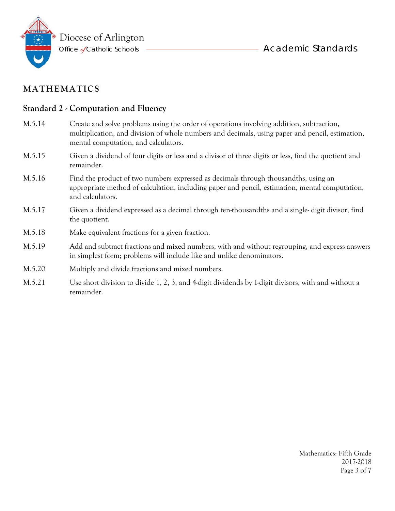

#### **Standard 2 - Computation and Fluency**

- M.5.14 Create and solve problems using the order of operations involving addition, subtraction, multiplication, and division of whole numbers and decimals, using paper and pencil, estimation, mental computation, and calculators. M.5.15 Given a dividend of four digits or less and a divisor of three digits or less, find the quotient and remainder. M.5.16 Find the product of two numbers expressed as decimals through thousandths, using an appropriate method of calculation, including paper and pencil, estimation, mental computation, and calculators. M.5.17 Given a dividend expressed as a decimal through ten-thousandths and a single- digit divisor, find the quotient.
- M.5.18 Make equivalent fractions for a given fraction.
- M.5.19 Add and subtract fractions and mixed numbers, with and without regrouping, and express answers in simplest form; problems will include like and unlike denominators.
- M.5.20 Multiply and divide fractions and mixed numbers.
- M.5.21 Use short division to divide 1, 2, 3, and 4-digit dividends by 1-digit divisors, with and without a remainder.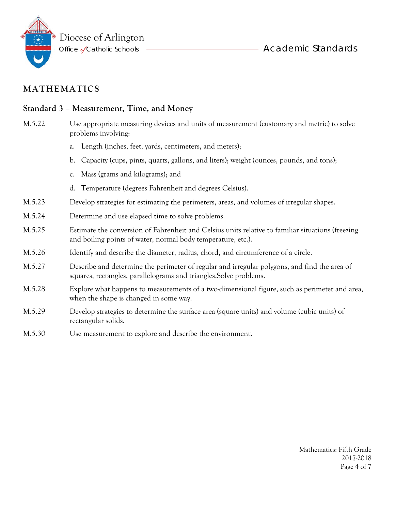

#### **Standard 3 – Measurement, Time, and Money**

- M.5.22 Use appropriate measuring devices and units of measurement (customary and metric) to solve problems involving:
	- a. Length (inches, feet, yards, centimeters, and meters);
	- b. Capacity (cups, pints, quarts, gallons, and liters); weight (ounces, pounds, and tons);
	- c. Mass (grams and kilograms); and
	- d. Temperature (degrees Fahrenheit and degrees Celsius).
- M.5.23 Develop strategies for estimating the perimeters, areas, and volumes of irregular shapes.
- M.5.24 Determine and use elapsed time to solve problems.
- M.5.25 Estimate the conversion of Fahrenheit and Celsius units relative to familiar situations (freezing and boiling points of water, normal body temperature, etc.).
- M.5.26 Identify and describe the diameter, radius, chord, and circumference of a circle.
- M.5.27 Describe and determine the perimeter of regular and irregular polygons, and find the area of squares, rectangles, parallelograms and triangles.Solve problems.
- M.5.28 Explore what happens to measurements of a two-dimensional figure, such as perimeter and area, when the shape is changed in some way.
- M.5.29 Develop strategies to determine the surface area (square units) and volume (cubic units) of rectangular solids.
- M.5.30 Use measurement to explore and describe the environment.

Mathematics: Fifth Grade 2017-2018 Page 4 of 7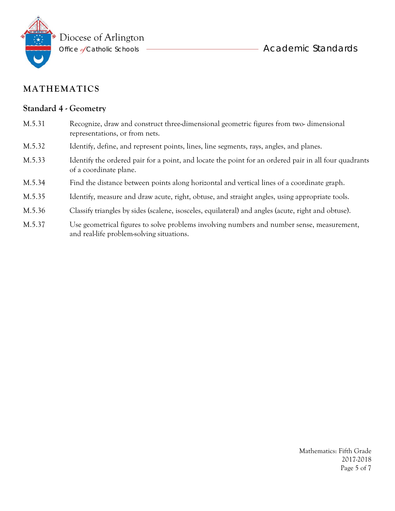

#### **Standard 4 - Geometry**

- M.5.31 Recognize, draw and construct three-dimensional geometric figures from two- dimensional representations, or from nets.
- M.5.32 Identify, define, and represent points, lines, line segments, rays, angles, and planes.
- M.5.33 Identify the ordered pair for a point, and locate the point for an ordered pair in all four quadrants of a coordinate plane.
- M.5.34 Find the distance between points along horizontal and vertical lines of a coordinate graph.
- M.5.35 Identify, measure and draw acute, right, obtuse, and straight angles, using appropriate tools.
- M.5.36 Classify triangles by sides (scalene, isosceles, equilateral) and angles (acute, right and obtuse).
- M.5.37 Use geometrical figures to solve problems involving numbers and number sense, measurement, and real-life problem-solving situations.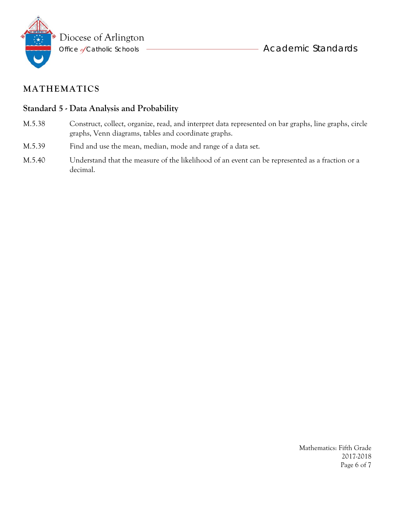

### **Standard 5 - Data Analysis and Probability**

- M.5.38 Construct, collect, organize, read, and interpret data represented on bar graphs, line graphs, circle graphs, Venn diagrams, tables and coordinate graphs.
- M.5.39 Find and use the mean, median, mode and range of a data set.
- M.5.40 Understand that the measure of the likelihood of an event can be represented as a fraction or a decimal.

Mathematics: Fifth Grade 2017-2018 Page 6 of 7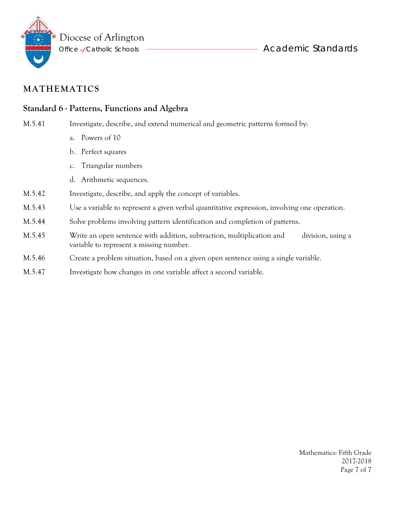

### **Standard 6 - Patterns, Functions and Algebra**

M.5.41 Investigate, describe, and extend numerical and geometric patterns formed by:

- a. Powers of 10
- b. Perfect squares
- c. Triangular numbers
- d. Arithmetic sequences.
- M.5.42 Investigate, describe, and apply the concept of variables.
- M.5.43 Use a variable to represent a given verbal quantitative expression, involving one operation.
- M.5.44 Solve problems involving pattern identification and completion of patterns.
- M.5.45 Write an open sentence with addition, subtraction, multiplication and division, using a variable to represent a missing number.
- M.5.46 Create a problem situation, based on a given open sentence using a single variable.
- M.5.47 Investigate how changes in one variable affect a second variable.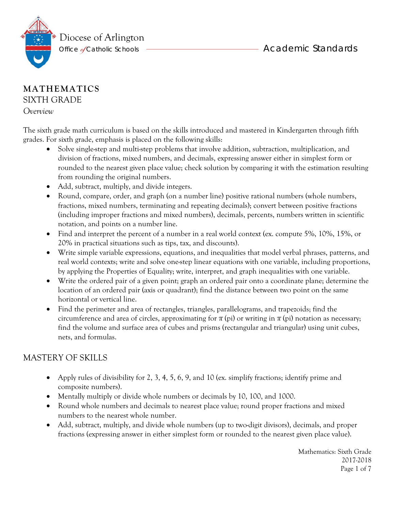

### **MATHEMATICS** SIXTH GRADE

*Overview* 

The sixth grade math curriculum is based on the skills introduced and mastered in Kindergarten through fifth grades. For sixth grade, emphasis is placed on the following skills:

- Solve single-step and multi-step problems that involve addition, subtraction, multiplication, and division of fractions, mixed numbers, and decimals, expressing answer either in simplest form or rounded to the nearest given place value; check solution by comparing it with the estimation resulting from rounding the original numbers.
- Add, subtract, multiply, and divide integers.
- Round, compare, order, and graph (on a number line) positive rational numbers (whole numbers, fractions, mixed numbers, terminating and repeating decimals); convert between positive fractions (including improper fractions and mixed numbers), decimals, percents, numbers written in scientific notation, and points on a number line.
- Find and interpret the percent of a number in a real world context (ex. compute 5%, 10%, 15%, or 20% in practical situations such as tips, tax, and discounts).
- Write simple variable expressions, equations, and inequalities that model verbal phrases, patterns, and real world contexts; write and solve one-step linear equations with one variable, including proportions, by applying the Properties of Equality; write, interpret, and graph inequalities with one variable.
- Write the ordered pair of a given point; graph an ordered pair onto a coordinate plane; determine the location of an ordered pair (axis or quadrant); find the distance between two point on the same horizontal or vertical line.
- Find the perimeter and area of rectangles, triangles, parallelograms, and trapezoids; find the circumference and area of circles, approximating for  $\pi$  (pi) or writing in  $\pi$  (pi) notation as necessary; find the volume and surface area of cubes and prisms (rectangular and triangular) using unit cubes, nets, and formulas.

## MASTERY OF SKILLS

- Apply rules of divisibility for 2, 3, 4, 5, 6, 9, and 10 (ex. simplify fractions; identify prime and composite numbers).
- Mentally multiply or divide whole numbers or decimals by 10, 100, and 1000.
- Round whole numbers and decimals to nearest place value; round proper fractions and mixed numbers to the nearest whole number.
- Add, subtract, multiply, and divide whole numbers (up to two-digit divisors), decimals, and proper fractions (expressing answer in either simplest form or rounded to the nearest given place value).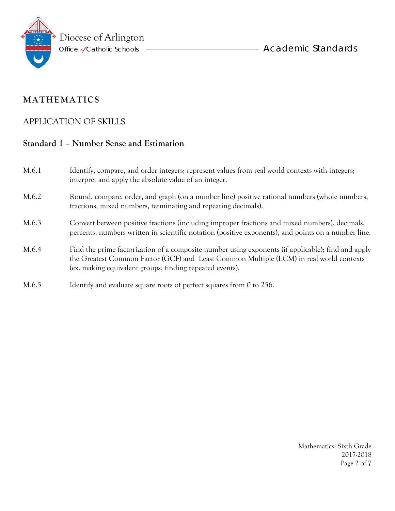

### APPLICATION OF SKILLS

### **Standard 1 – Number Sense and Estimation**

| M.6.1 | Identify, compare, and order integers; represent values from real world contexts with integers;<br>interpret and apply the absolute value of an integer.                                                                                                  |
|-------|-----------------------------------------------------------------------------------------------------------------------------------------------------------------------------------------------------------------------------------------------------------|
| M.6.2 | Round, compare, order, and graph (on a number line) positive rational numbers (whole numbers,<br>fractions, mixed numbers, terminating and repeating decimals).                                                                                           |
| M.6.3 | Convert between positive fractions (including improper fractions and mixed numbers), decimals,<br>percents, numbers written in scientific notation (positive exponents), and points on a number line.                                                     |
| M.6.4 | Find the prime factorization of a composite number using exponents (if applicable); find and apply<br>the Greatest Common Factor (GCF) and Least Common Multiple (LCM) in real world contexts<br>(ex. making equivalent groups; finding repeated events). |
| M.6.5 | Identify and evaluate square roots of perfect squares from 0 to 256.                                                                                                                                                                                      |

Mathematics: Sixth Grade 2017-2018 Page 2 of 7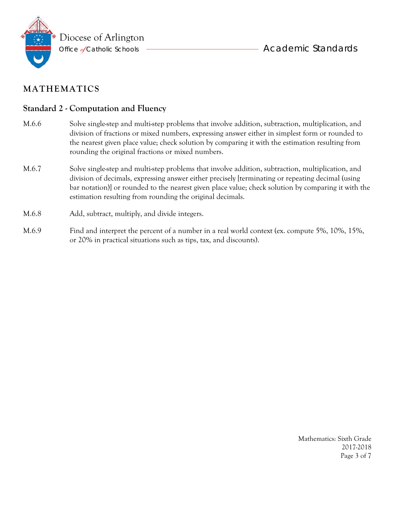

#### **Standard 2 - Computation and Fluency**

- M.6.6 Solve single-step and multi-step problems that involve addition, subtraction, multiplication, and division of fractions or mixed numbers, expressing answer either in simplest form or rounded to the nearest given place value; check solution by comparing it with the estimation resulting from rounding the original fractions or mixed numbers.
- M.6.7 Solve single-step and multi-step problems that involve addition, subtraction, multiplication, and division of decimals, expressing answer either precisely [terminating or repeating decimal (using bar notation)] or rounded to the nearest given place value; check solution by comparing it with the estimation resulting from rounding the original decimals.
- M.6.8 Add, subtract, multiply, and divide integers.
- M.6.9 Find and interpret the percent of a number in a real world context (ex. compute 5%, 10%, 15%, or 20% in practical situations such as tips, tax, and discounts).

Mathematics: Sixth Grade 2017-2018 Page 3 of 7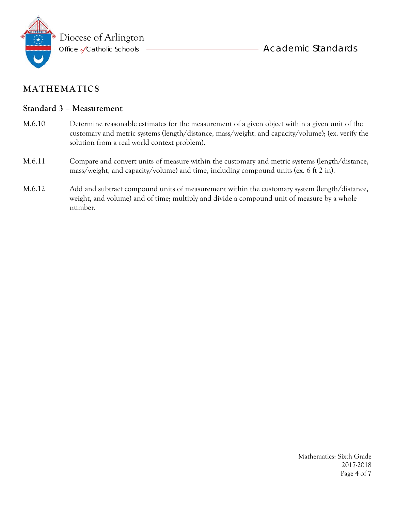

#### **Standard 3 – Measurement**

- M.6.10 Determine reasonable estimates for the measurement of a given object within a given unit of the customary and metric systems (length/distance, mass/weight, and capacity/volume); (ex. verify the solution from a real world context problem).
- M.6.11 Compare and convert units of measure within the customary and metric systems (length/distance, mass/weight, and capacity/volume) and time, including compound units (ex. 6 ft 2 in).
- M.6.12 Add and subtract compound units of measurement within the customary system (length/distance, weight, and volume) and of time; multiply and divide a compound unit of measure by a whole number.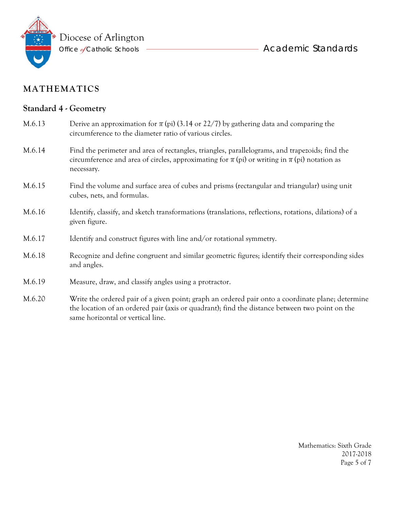

same horizontal or vertical line.

### **MATHEMATICS**

### **Standard 4 - Geometry**

| M.6.13 | Derive an approximation for $\pi$ (pi) (3.14 or 22/7) by gathering data and comparing the<br>circumference to the diameter ratio of various circles.                                                                 |
|--------|----------------------------------------------------------------------------------------------------------------------------------------------------------------------------------------------------------------------|
| M.6.14 | Find the perimeter and area of rectangles, triangles, parallelograms, and trapezoids; find the<br>circumference and area of circles, approximating for $\pi$ (pi) or writing in $\pi$ (pi) notation as<br>necessary. |
| M.6.15 | Find the volume and surface area of cubes and prisms (rectangular and triangular) using unit<br>cubes, nets, and formulas.                                                                                           |
| M.6.16 | Identify, classify, and sketch transformations (translations, reflections, rotations, dilations) of a<br>given figure.                                                                                               |
| M.6.17 | Identify and construct figures with line and/or rotational symmetry.                                                                                                                                                 |
| M.6.18 | Recognize and define congruent and similar geometric figures; identify their corresponding sides<br>and angles.                                                                                                      |
| M.6.19 | Measure, draw, and classify angles using a protractor.                                                                                                                                                               |
| M.6.20 | Write the ordered pair of a given point; graph an ordered pair onto a coordinate plane; determine<br>the location of an ordered pair (axis or quadrant); find the distance between two point on the                  |

Mathematics: Sixth Grade 2017-2018 Page 5 of 7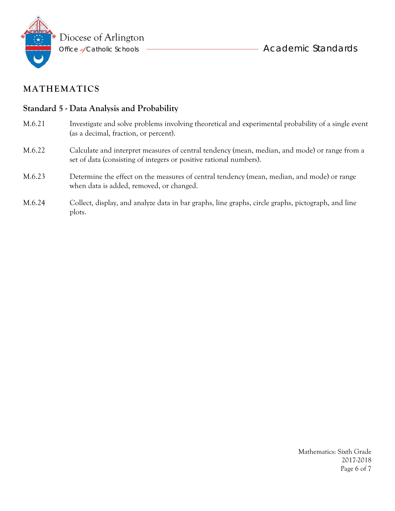

#### **Standard 5 - Data Analysis and Probability**

- M.6.21 Investigate and solve problems involving theoretical and experimental probability of a single event (as a decimal, fraction, or percent).
- M.6.22 Calculate and interpret measures of central tendency (mean, median, and mode) or range from a set of data (consisting of integers or positive rational numbers).
- M.6.23 Determine the effect on the measures of central tendency (mean, median, and mode) or range when data is added, removed, or changed.
- M.6.24 Collect, display, and analyze data in bar graphs, line graphs, circle graphs, pictograph, and line plots.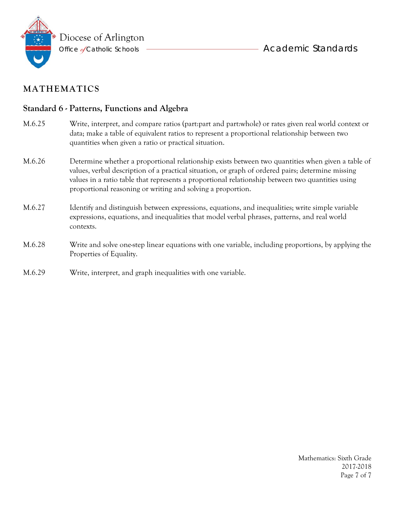

### **Standard 6 - Patterns, Functions and Algebra**

- M.6.25 Write, interpret, and compare ratios (part:part and part:whole) or rates given real world context or data; make a table of equivalent ratios to represent a proportional relationship between two quantities when given a ratio or practical situation.
- M.6.26 Determine whether a proportional relationship exists between two quantities when given a table of values, verbal description of a practical situation, or graph of ordered pairs; determine missing values in a ratio table that represents a proportional relationship between two quantities using proportional reasoning or writing and solving a proportion.
- M.6.27 Identify and distinguish between expressions, equations, and inequalities; write simple variable expressions, equations, and inequalities that model verbal phrases, patterns, and real world contexts.
- M.6.28 Write and solve one-step linear equations with one variable, including proportions, by applying the Properties of Equality.
- M.6.29 Write, interpret, and graph inequalities with one variable.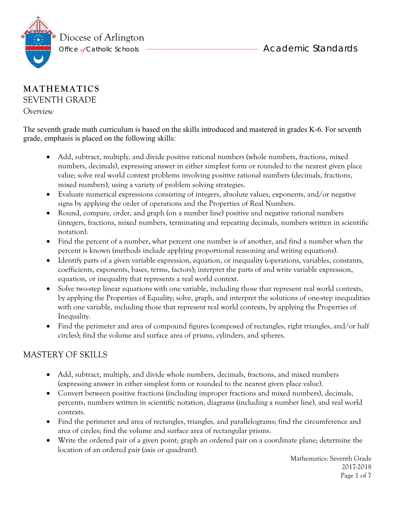

#### **MATHEMATICS** SEVENTH GRADE

*Overview* 

The seventh grade math curriculum is based on the skills introduced and mastered in grades K-6. For seventh grade, emphasis is placed on the following skills:

- Add, subtract, multiply, and divide positive rational numbers (whole numbers, fractions, mixed numbers, decimals), expressing answer in either simplest form or rounded to the nearest given place value; solve real world context problems involving positive rational numbers (decimals, fractions, mixed numbers), using a variety of problem solving strategies.
- Evaluate numerical expressions consisting of integers, absolute values, exponents, and/or negative signs by applying the order of operations and the Properties of Real Numbers.
- Round, compare, order, and graph (on a number line) positive and negative rational numbers (integers, fractions, mixed numbers, terminating and repeating decimals, numbers written in scientific notation).
- Find the percent of a number, what percent one number is of another, and find a number when the percent is known (methods include applying proportional reasoning and writing equations).
- Identify parts of a given variable expression, equation, or inequality (operations, variables, constants, coefficients, exponents, bases, terms, factors); interpret the parts of and write variable expression, equation, or inequality that represents a real world context.
- Solve two-step linear equations with one variable, including those that represent real world contexts, by applying the Properties of Equality; solve, graph, and interpret the solutions of one-step inequalities with one variable, including those that represent real world contexts, by applying the Properties of Inequality.
- Find the perimeter and area of compound figures (composed of rectangles, right triangles, and/or half circles); find the volume and surface area of prisms, cylinders, and spheres.

# MASTERY OF SKILLS

- Add, subtract, multiply, and divide whole numbers, decimals, fractions, and mixed numbers (expressing answer in either simplest form or rounded to the nearest given place value).
- Convert between positive fractions (including improper fractions and mixed numbers), decimals, percents, numbers written in scientific notation, diagrams (including a number line), and real world contexts.
- Find the perimeter and area of rectangles, triangles, and parallelograms; find the circumference and area of circles; find the volume and surface area of rectangular prisms.
- Write the ordered pair of a given point; graph an ordered pair on a coordinate plane; determine the location of an ordered pair (axis or quadrant).

Mathematics: Seventh Grade 2017-2018 Page 1 of 7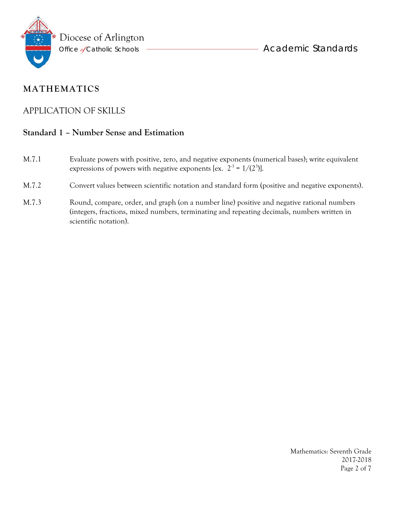

### APPLICATION OF SKILLS

### **Standard 1 – Number Sense and Estimation**

- M.7.1 Evaluate powers with positive, zero, and negative exponents (numerical bases); write equivalent expressions of powers with negative exponents [ex.  $2^3 = 1/(2^3)$ ].
- M.7.2 Convert values between scientific notation and standard form (positive and negative exponents).
- M.7.3 Round, compare, order, and graph (on a number line) positive and negative rational numbers (integers, fractions, mixed numbers, terminating and repeating decimals, numbers written in scientific notation).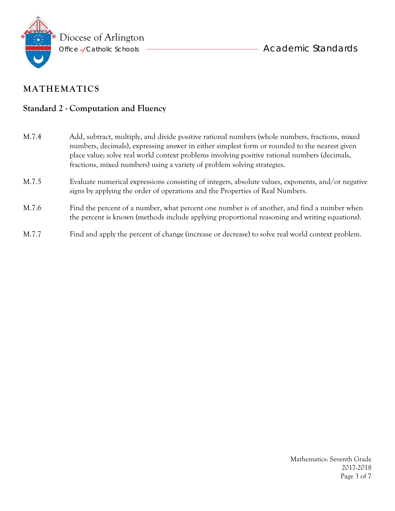

### **Standard 2 - Computation and Fluency**

| M.7.4 | Add, subtract, multiply, and divide positive rational numbers (whole numbers, fractions, mixed<br>numbers, decimals), expressing answer in either simplest form or rounded to the nearest given<br>place value; solve real world context problems involving positive rational numbers (decimals,<br>fractions, mixed numbers) using a variety of problem solving strategies. |
|-------|------------------------------------------------------------------------------------------------------------------------------------------------------------------------------------------------------------------------------------------------------------------------------------------------------------------------------------------------------------------------------|
| M.7.5 | Evaluate numerical expressions consisting of integers, absolute values, exponents, and/or negative<br>signs by applying the order of operations and the Properties of Real Numbers.                                                                                                                                                                                          |
| M.7.6 | Find the percent of a number, what percent one number is of another, and find a number when<br>the percent is known (methods include applying proportional reasoning and writing equations).                                                                                                                                                                                 |
| M.7.7 | Find and apply the percent of change (increase or decrease) to solve real world context problem.                                                                                                                                                                                                                                                                             |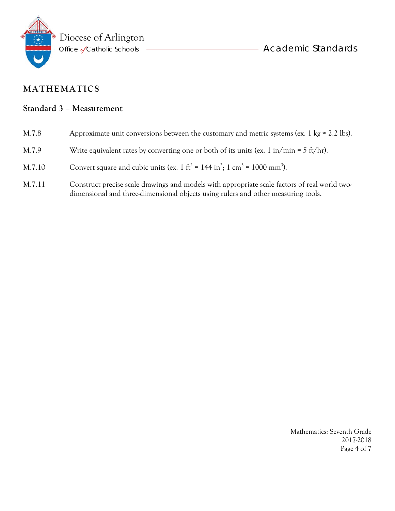

- Academic Standards

## **MATHEMATICS**

### **Standard 3 – Measurement**

| M.7.8  | Approximate unit conversions between the customary and metric systems (ex. 1 kg $\approx$ 2.2 lbs).                                                                                |
|--------|------------------------------------------------------------------------------------------------------------------------------------------------------------------------------------|
| M.7.9  | Write equivalent rates by converting one or both of its units (ex. 1 in/min = 5 ft/hr).                                                                                            |
| M.7.10 | Convert square and cubic units (ex. 1 ft <sup>2</sup> = 144 in <sup>2</sup> ; 1 cm <sup>3</sup> = 1000 mm <sup>3</sup> ).                                                          |
| M.7.11 | Construct precise scale drawings and models with appropriate scale factors of real world two-<br>dimensional and three-dimensional objects using rulers and other measuring tools. |

Mathematics: Seventh Grade 2017-2018 Page 4 of 7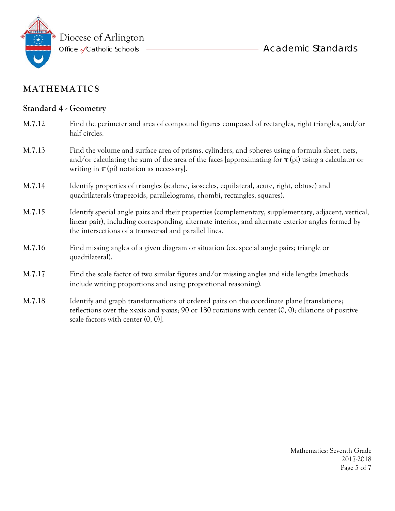

scale factors with center (0, 0)].

**- Academic Standards** 

## **MATHEMATICS**

### **Standard 4 - Geometry**

| M.7.12 | Find the perimeter and area of compound figures composed of rectangles, right triangles, and/or<br>half circles.                                                                                                                                                     |
|--------|----------------------------------------------------------------------------------------------------------------------------------------------------------------------------------------------------------------------------------------------------------------------|
| M.7.13 | Find the volume and surface area of prisms, cylinders, and spheres using a formula sheet, nets,<br>and/or calculating the sum of the area of the faces [approximating for $\pi$ (pi) using a calculator or<br>writing in $\pi$ (pi) notation as necessary].          |
| M.7.14 | Identify properties of triangles (scalene, isosceles, equilateral, acute, right, obtuse) and<br>quadrilaterals (trapezoids, parallelograms, rhombi, rectangles, squares).                                                                                            |
| M.7.15 | Identify special angle pairs and their properties (complementary, supplementary, adjacent, vertical,<br>linear pair), including corresponding, alternate interior, and alternate exterior angles formed by<br>the intersections of a transversal and parallel lines. |
| M.7.16 | Find missing angles of a given diagram or situation (ex. special angle pairs; triangle or<br>quadrilateral).                                                                                                                                                         |
| M.7.17 | Find the scale factor of two similar figures and/or missing angles and side lengths (methods<br>include writing proportions and using proportional reasoning).                                                                                                       |
| M.7.18 | Identify and graph transformations of ordered pairs on the coordinate plane [translations;<br>reflections over the x-axis and y-axis; 90 or 180 rotations with center $(0, 0)$ ; dilations of positive                                                               |

Mathematics: Seventh Grade 2017-2018 Page 5 of 7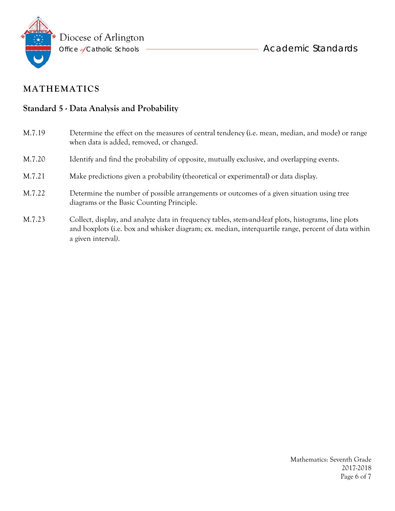

### **Standard 5 - Data Analysis and Probability**

M.7.19 Determine the effect on the measures of central tendency (i.e. mean, median, and mode) or range when data is added, removed, or changed. M.7.20 Identify and find the probability of opposite, mutually exclusive, and overlapping events. M.7.21 Make predictions given a probability (theoretical or experimental) or data display. M.7.22 Determine the number of possible arrangements or outcomes of a given situation using tree diagrams or the Basic Counting Principle. M.7.23 Collect, display, and analyze data in frequency tables, stem-and-leaf plots, histograms, line plots and boxplots (i.e. box and whisker diagram; ex. median, interquartile range, percent of data within a given interval*)*.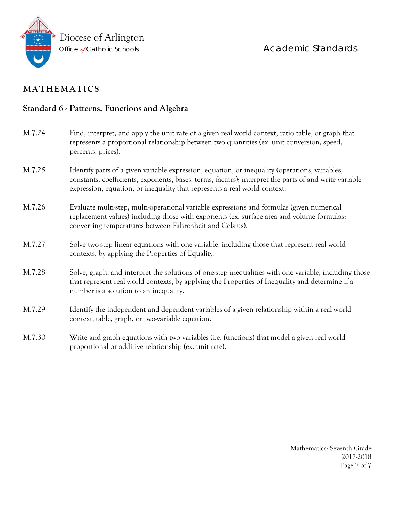

### **Standard 6 - Patterns, Functions and Algebra**

| M.7.24 | Find, interpret, and apply the unit rate of a given real world context, ratio table, or graph that<br>represents a proportional relationship between two quantities (ex. unit conversion, speed,<br>percents, prices).                                                               |
|--------|--------------------------------------------------------------------------------------------------------------------------------------------------------------------------------------------------------------------------------------------------------------------------------------|
| M.7.25 | Identify parts of a given variable expression, equation, or inequality (operations, variables,<br>constants, coefficients, exponents, bases, terms, factors); interpret the parts of and write variable<br>expression, equation, or inequality that represents a real world context. |
| M.7.26 | Evaluate multi-step, multi-operational variable expressions and formulas (given numerical<br>replacement values) including those with exponents (ex. surface area and volume formulas;<br>converting temperatures between Fahrenheit and Celsius).                                   |
| M.7.27 | Solve two-step linear equations with one variable, including those that represent real world<br>contexts, by applying the Properties of Equality.                                                                                                                                    |
| M.7.28 | Solve, graph, and interpret the solutions of one-step inequalities with one variable, including those<br>that represent real world contexts, by applying the Properties of Inequality and determine if a<br>number is a solution to an inequality.                                   |
| M.7.29 | Identify the independent and dependent variables of a given relationship within a real world<br>context, table, graph, or two-variable equation.                                                                                                                                     |
| M.7.30 | Write and graph equations with two variables (i.e. functions) that model a given real world<br>proportional or additive relationship (ex. unit rate).                                                                                                                                |

Mathematics: Seventh Grade 2017-2018 Page 7 of 7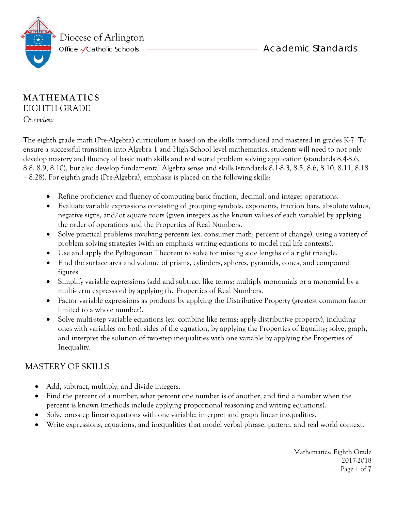

### **MATHEMATICS** EIGHTH GRADE *Overview*

The eighth grade math (Pre-Algebra) curriculum is based on the skills introduced and mastered in grades K-7. To ensure a successful transition into Algebra 1 and High School level mathematics, students will need to not only develop mastery and fluency of basic math skills and real world problem solving application (standards 8.4-8.6, 8.8, 8.9, 8.10), but also develop fundamental Algebra sense and skills (standards 8.1-8.3, 8.5, 8.6, 8.10, 8.11, 8.18 – 8.28). For eighth grade (Pre-Algebra), emphasis is placed on the following skills:

- Refine proficiency and fluency of computing basic fraction, decimal, and integer operations.
- Evaluate variable expressions consisting of grouping symbols, exponents, fraction bars, absolute values, negative signs, and/or square roots (given integers as the known values of each variable) by applying the order of operations and the Properties of Real Numbers.
- Solve practical problems involving percents (ex. consumer math; percent of change), using a variety of problem solving strategies (with an emphasis writing equations to model real life contexts).
- Use and apply the Pythagorean Theorem to solve for missing side lengths of a right triangle.
- Find the surface area and volume of prisms, cylinders, spheres, pyramids, cones, and compound figures
- Simplify variable expressions (add and subtract like terms; multiply monomials or a monomial by a multi-term expression) by applying the Properties of Real Numbers.
- Factor variable expressions as products by applying the Distributive Property (greatest common factor limited to a whole number).
- Solve multi-step variable equations (ex. combine like terms; apply distributive property), including ones with variables on both sides of the equation, by applying the Properties of Equality; solve, graph, and interpret the solution of two-step inequalities with one variable by applying the Properties of Inequality.

## MASTERY OF SKILLS

- Add, subtract, multiply, and divide integers.
- Find the percent of a number, what percent one number is of another, and find a number when the percent is known (methods include applying proportional reasoning and writing equations).
- Solve one-step linear equations with one variable; interpret and graph linear inequalities.
- Write expressions, equations, and inequalities that model verbal phrase, pattern, and real world context.

Mathematics: Eighth Grade 2017-2018 Page 1 of 7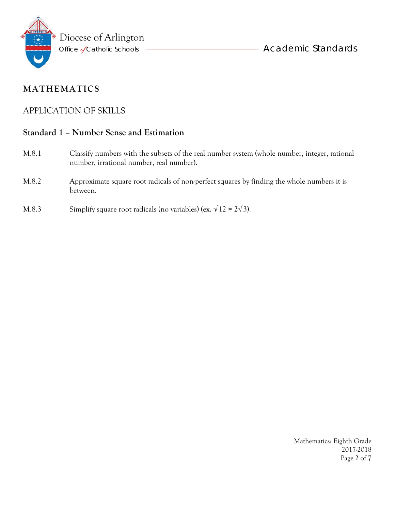

### APPLICATION OF SKILLS

#### **Standard 1 – Number Sense and Estimation**

- M.8.1 Classify numbers with the subsets of the real number system (whole number, integer, rational number, irrational number, real number).
- M.8.2 Approximate square root radicals of non-perfect squares by finding the whole numbers it is between.
- M.8.3 Simplify square root radicals (no variables) (ex.  $\sqrt{12} = 2\sqrt{3}$ ).

Mathematics: Eighth Grade 2017-2018 Page 2 of 7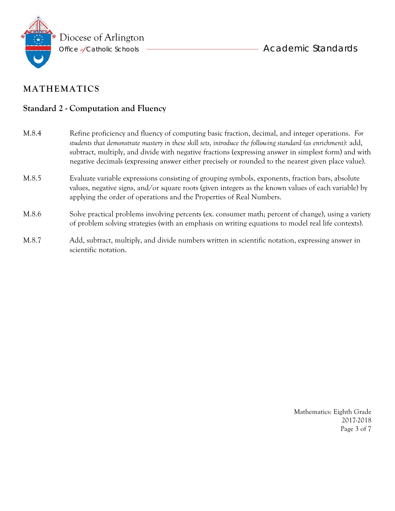

### **Standard 2 - Computation and Fluency**

- M.8.4 Refine proficiency and fluency of computing basic fraction, decimal, and integer operations. *For students that demonstrate mastery in these skill sets, introduce the following standard (as enrichment):* add, subtract, multiply, and divide with negative fractions (expressing answer in simplest form) and with negative decimals (expressing answer either precisely or rounded to the nearest given place value). M.8.5 Evaluate variable expressions consisting of grouping symbols, exponents, fraction bars, absolute values, negative signs, and/or square roots (given integers as the known values of each variable) by applying the order of operations and the Properties of Real Numbers. M.8.6 Solve practical problems involving percents (ex. consumer math; percent of change), using a variety of problem solving strategies (with an emphasis on writing equations to model real life contexts). M.8.7 Add, subtract, multiply, and divide numbers written in scientific notation, expressing answer in
- scientific notation.

Mathematics: Eighth Grade 2017-2018 Page 3 of 7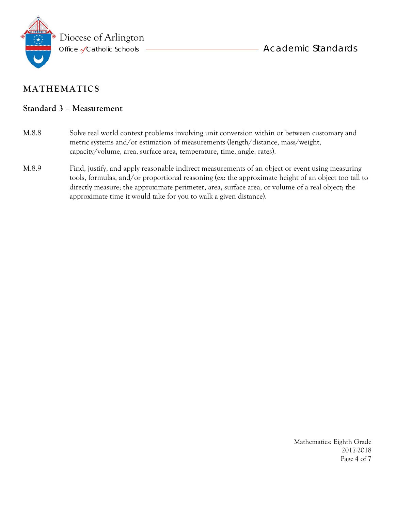

#### **Standard 3 – Measurement**

- M.8.8 Solve real world context problems involving unit conversion within or between customary and metric systems and/or estimation of measurements (length/distance, mass/weight, capacity/volume, area, surface area, temperature, time, angle, rates).
- M.8.9 Find, justify, and apply reasonable indirect measurements of an object or event using measuring tools, formulas, and/or proportional reasoning (ex: the approximate height of an object too tall to directly measure; the approximate perimeter, area, surface area, or volume of a real object; the approximate time it would take for you to walk a given distance).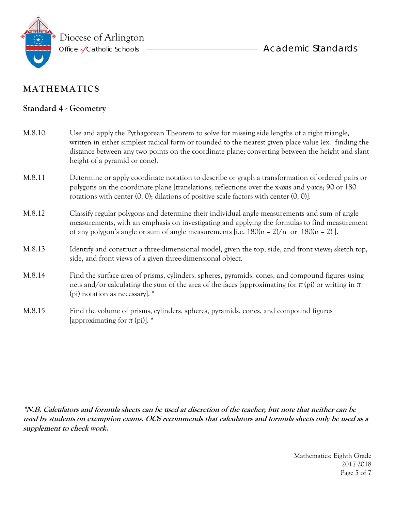

### **Standard 4 - Geometry**

| M.8.10 | Use and apply the Pythagorean Theorem to solve for missing side lengths of a right triangle,<br>written in either simplest radical form or rounded to the nearest given place value (ex. finding the<br>distance between any two points on the coordinate plane; converting between the height and slant<br>height of a pyramid or cone). |
|--------|-------------------------------------------------------------------------------------------------------------------------------------------------------------------------------------------------------------------------------------------------------------------------------------------------------------------------------------------|
| M.8.11 | Determine or apply coordinate notation to describe or graph a transformation of ordered pairs or<br>polygons on the coordinate plane [translations; reflections over the x-axis and y-axis; 90 or 180<br>rotations with center $(0, 0)$ ; dilations of positive scale factors with center $(0, 0)$ ].                                     |
| M.8.12 | Classify regular polygons and determine their individual angle measurements and sum of angle<br>measurements, with an emphasis on investigating and applying the formulas to find measurement<br>of any polygon's angle or sum of angle measurements [i.e. $180(n - 2)/n$ or $180(n - 2)$ ].                                              |
| M.8.13 | Identify and construct a three-dimensional model, given the top, side, and front views; sketch top,<br>side, and front views of a given three-dimensional object.                                                                                                                                                                         |
| M.8.14 | Find the surface area of prisms, cylinders, spheres, pyramids, cones, and compound figures using<br>nets and/or calculating the sum of the area of the faces [approximating for $\pi$ (pi) or writing in $\pi$<br>(pi) notation as necessary]. *                                                                                          |
| M.8.15 | Find the volume of prisms, cylinders, spheres, pyramids, cones, and compound figures<br>[approximating for $\pi$ (pi)]. *                                                                                                                                                                                                                 |

**\*N.B. Calculators and formula sheets can be used at discretion of the teacher, but note that neither can be used by students on exemption exams. OCS recommends that calculators and formula sheets only be used as a supplement to check work.** 

> Mathematics: Eighth Grade 2017-2018 Page 5 of 7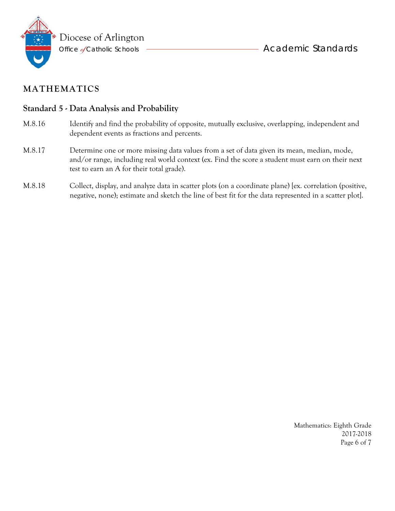

### **Standard 5 - Data Analysis and Probability**

- M.8.16 Identify and find the probability of opposite, mutually exclusive, overlapping, independent and dependent events as fractions and percents.
- M.8.17 Determine one or more missing data values from a set of data given its mean, median, mode, and/or range, including real world context (ex. Find the score a student must earn on their next test to earn an A for their total grade).
- M.8.18 Collect, display, and analyze data in scatter plots (on a coordinate plane) [ex. correlation (positive, negative, none); estimate and sketch the line of best fit for the data represented in a scatter plot].

Mathematics: Eighth Grade 2017-2018 Page 6 of 7